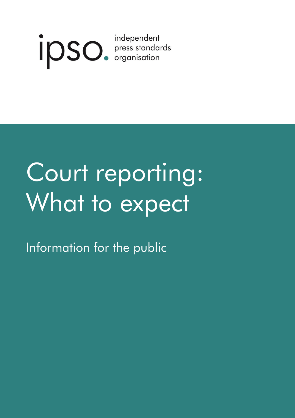

# Court reporting: What to expect

Information for the public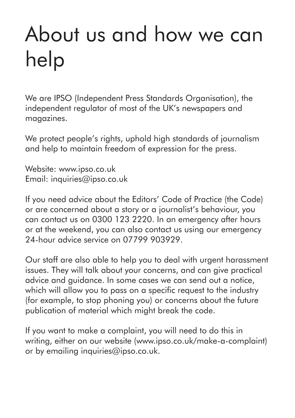## About us and how we can help

We are IPSO (Independent Press Standards Organisation), the independent regulator of most of the UK's newspapers and magazines.

We protect people's rights, uphold high standards of journalism and help to maintain freedom of expression for the press.

Website: www.ipso.co.uk Email: inquiries@ipso.co.uk

If you need advice about the Editors' Code of Practice (the Code) or are concerned about a story or a journalist's behaviour, you can contact us on 0300 123 2220. In an emergency after hours or at the weekend, you can also contact us using our emergency 24-hour advice service on 07799 903929.

Our staff are also able to help you to deal with urgent harassment issues. They will talk about your concerns, and can give practical advice and guidance. In some cases we can send out a notice, which will allow you to pass on a specific request to the industry (for example, to stop phoning you) or concerns about the future publication of material which might break the code.

If you want to make a complaint, you will need to do this in writing, either on our website (www.ipso.co.uk/make-a-complaint) or by emailing inquiries@ipso.co.uk.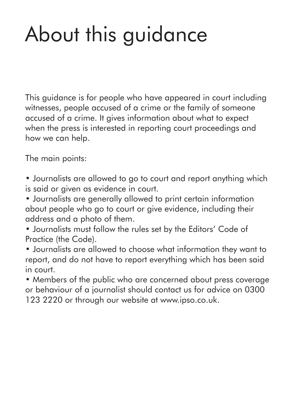# About this guidance

This guidance is for people who have appeared in court including witnesses, people accused of a crime or the family of someone accused of a crime. It gives information about what to expect when the press is interested in reporting court proceedings and how we can help.

The main points:

- Journalists are allowed to go to court and report anything which is said or given as evidence in court.
- Journalists are generally allowed to print certain information about people who go to court or give evidence, including their address and a photo of them.
- Journalists must follow the rules set by the Editors' Code of Practice (the Code).
- Journalists are allowed to choose what information they want to report, and do not have to report everything which has been said in court.
- Members of the public who are concerned about press coverage or behaviour of a journalist should contact us for advice on 0300 123 2220 or through our website at www.ipso.co.uk.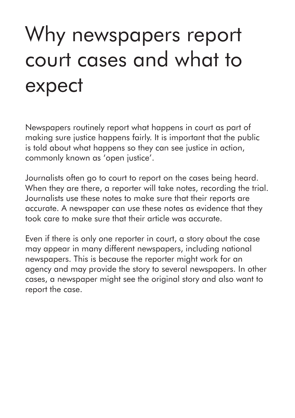### Why newspapers report court cases and what to expect

Newspapers routinely report what happens in court as part of making sure justice happens fairly. It is important that the public is told about what happens so they can see justice in action, commonly known as 'open justice'.

Journalists often go to court to report on the cases being heard. When they are there, a reporter will take notes, recording the trial. Journalists use these notes to make sure that their reports are accurate. A newspaper can use these notes as evidence that they took care to make sure that their article was accurate.

Even if there is only one reporter in court, a story about the case may appear in many different newspapers, including national newspapers. This is because the reporter might work for an agency and may provide the story to several newspapers. In other cases, a newspaper might see the original story and also want to report the case.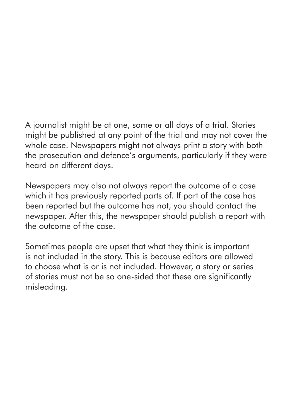A journalist might be at one, some or all days of a trial. Stories might be published at any point of the trial and may not cover the whole case. Newspapers might not always print a story with both the prosecution and defence's arguments, particularly if they were heard on different days.

Newspapers may also not always report the outcome of a case which it has previously reported parts of. If part of the case has been reported but the outcome has not, you should contact the newspaper. After this, the newspaper should publish a report with the outcome of the case.

Sometimes people are upset that what they think is important is not included in the story. This is because editors are allowed to choose what is or is not included. However, a story or series of stories must not be so one-sided that these are significantly misleading.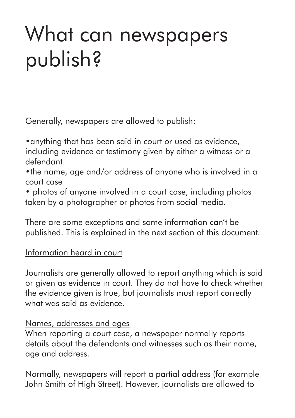### What can newspapers publish?

Generally, newspapers are allowed to publish:

•anything that has been said in court or used as evidence, including evidence or testimony given by either a witness or a defendant

•the name, age and/or address of anyone who is involved in a court case

• photos of anyone involved in a court case, including photos taken by a photographer or photos from social media.

There are some exceptions and some information can't be published. This is explained in the next section of this document.

#### Information heard in court

Journalists are generally allowed to report anything which is said or given as evidence in court. They do not have to check whether the evidence given is true, but journalists must report correctly what was said as evidence.

#### Names, addresses and ages

When reporting a court case, a newspaper normally reports details about the defendants and witnesses such as their name, age and address.

Normally, newspapers will report a partial address (for example John Smith of High Street). However, journalists are allowed to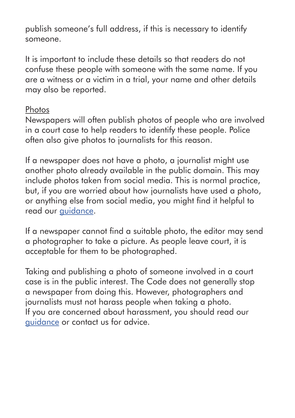publish someone's full address, if this is necessary to identify someone.

It is important to include these details so that readers do not confuse these people with someone with the same name. If you are a witness or a victim in a trial, your name and other details may also be reported.

#### Photos

Newspapers will often publish photos of people who are involved in a court case to help readers to identify these people. Police often also give photos to journalists for this reason.

If a newspaper does not have a photo, a journalist might use another photo already available in the public domain. This may include photos taken from social media. This is normal practice, but, if you are worried about how journalists have used a photo, or anything else from social media, you might find it helpful to read our guidance.

If a newspaper cannot find a suitable photo, the editor may send a photographer to take a picture. As people leave court, it is acceptable for them to be photographed.

Taking and publishing a photo of someone involved in a court case is in the public interest. The Code does not generally stop a newspaper from doing this. However, photographers and journalists must not harass people when taking a photo. If you are concerned about harassment, you should read our guidance or contact us for advice.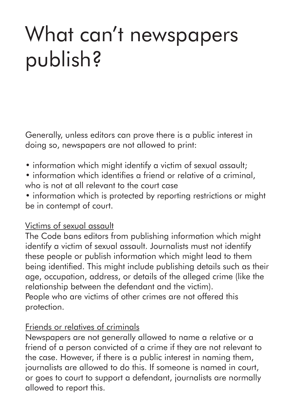### What can't newspapers publish?

Generally, unless editors can prove there is a public interest in doing so, newspapers are not allowed to print:

- information which might identify a victim of sexual assault:
- information which identifies a friend or relative of a criminal, who is not at all relevant to the court case
- information which is protected by reporting restrictions or might be in contempt of court.

#### Victims of sexual assault

The Code bans editors from publishing information which might identify a victim of sexual assault. Journalists must not identify these people or publish information which might lead to them being identified. This might include publishing details such as their age, occupation, address, or details of the alleged crime (like the relationship between the defendant and the victim). People who are victims of other crimes are not offered this protection.

#### Friends or relatives of criminals

Newspapers are not generally allowed to name a relative or a friend of a person convicted of a crime if they are not relevant to the case. However, if there is a public interest in naming them, journalists are allowed to do this. If someone is named in court, or goes to court to support a defendant, journalists are normally allowed to report this.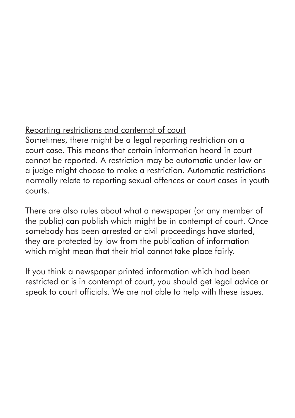#### Reporting restrictions and contempt of court

Sometimes, there might be a legal reporting restriction on a court case. This means that certain information heard in court cannot be reported. A restriction may be automatic under law or a judge might choose to make a restriction. Automatic restrictions normally relate to reporting sexual offences or court cases in youth courts.

There are also rules about what a newspaper (or any member of the public) can publish which might be in contempt of court. Once somebody has been arrested or civil proceedings have started, they are protected by law from the publication of information which might mean that their trial cannot take place fairly.

If you think a newspaper printed information which had been restricted or is in contempt of court, you should get legal advice or speak to court officials. We are not able to help with these issues.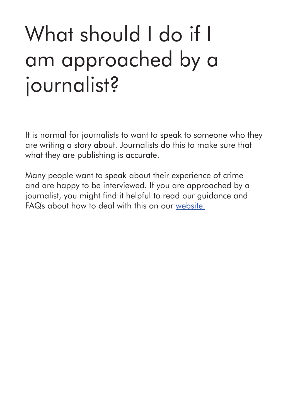### What should I do if I am approached by a journalist?

It is normal for journalists to want to speak to someone who they are writing a story about. Journalists do this to make sure that what they are publishing is accurate.

Many people want to speak about their experience of crime and are happy to be interviewed. If you are approached by a journalist, you might find it helpful to read our guidance and FAQs about how to deal with this on our website.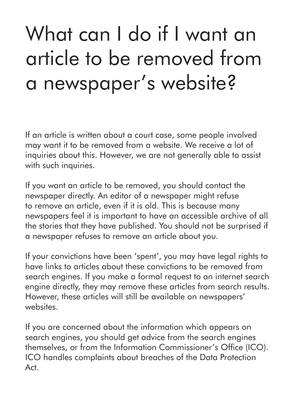### What can I do if I want an article to be removed from a newspaper's website?

If an article is written about a court case, some people involved may want it to be removed from a website. We receive a lot of inquiries about this. However, we are not generally able to assist with such inquiries.

If you want an article to be removed, you should contact the newspaper directly. An editor of a newspaper might refuse to remove an article, even if it is old. This is because many newspapers feel it is important to have an accessible archive of all the stories that they have published. You should not be surprised if a newspaper refuses to remove an article about you.

If your convictions have been 'spent', you may have legal rights to have links to articles about these convictions to be removed from search engines. If you make a formal request to an internet search engine directly, they may remove these articles from search results. However, these articles will still be available on newspapers' websites.

If you are concerned about the information which appears on search engines, you should get advice from the search engines themselves, or from the Information Commissioner's Office (ICO). ICO handles complaints about breaches of the Data Protection Act.